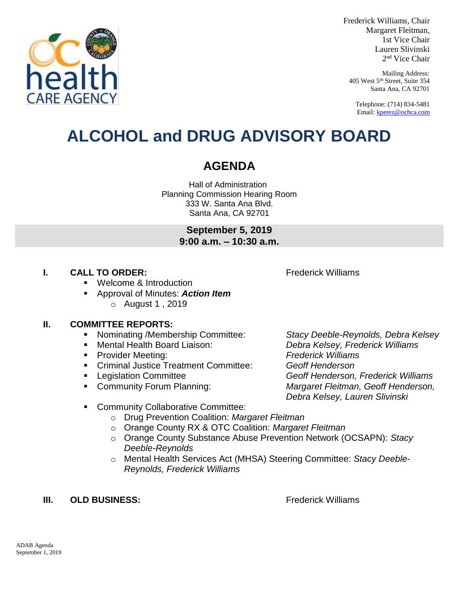

Frederick Williams, Chair Margaret Fleitman, 1st Vice Chair Lauren Slivinski 2 nd Vice Chair

Mailing Address: 405 West 5th Street, Suite 354 Santa Ana, CA 92701

Telephone: (714) 834-5481 Email[: kperez@ochca.com](mailto:kperez@ochca.com)

## **ALCOHOL and DRUG ADVISORY BOARD**

## **AGENDA**

Hall of Administration Planning Commission Hearing Room 333 W. Santa Ana Blvd. Santa Ana, CA 92701

> **September 5, 2019 9:00 a.m. – 10:30 a.m.**

## **I. CALL TO ORDER:** Frederick Williams

Welcome & Introduction

 Approval of Minutes: *Action Item* o August 1 , 2019

## **II. COMMITTEE REPORTS:**

- Nominating /Membership Committee: *Stacy Deeble-Reynolds, Debra Kelsey*
- 
- Provider Meeting: *Frederick Williams*
- Criminal Justice Treatment Committee: *Geoff Henderson*
- 
- 

 Mental Health Board Liaison: *Debra Kelsey, Frederick Williams* Legislation Committee *Geoff Henderson, Frederick Williams*  Community Forum Planning: *Margaret Fleitman, Geoff Henderson, Debra Kelsey, Lauren Slivinski*

- **EXECOMMUNITY Collaborative Committee:** 
	- o Drug Prevention Coalition: *Margaret Fleitman*
	- o Orange County RX & OTC Coalition: *Margaret Fleitman*
	- o Orange County Substance Abuse Prevention Network (OCSAPN): *Stacy Deeble-Reynolds*
	- o Mental Health Services Act (MHSA) Steering Committee: *Stacy Deeble-Reynolds, Frederick Williams*

## **III. OLD BUSINESS:** The Contract of the Contract of Trederick Williams